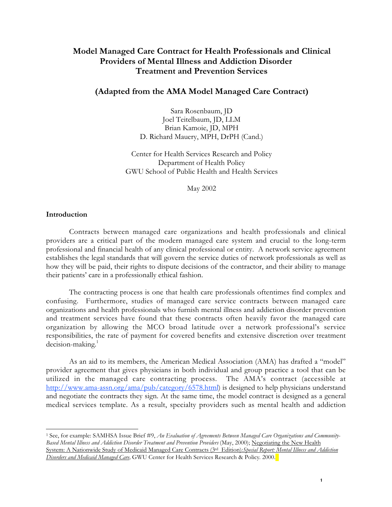# **Model Managed Care Contract for Health Professionals and Clinical Providers of Mental Illness and Addiction Disorder Treatment and Prevention Services**

## **(Adapted from the AMA Model Managed Care Contract)**

Sara Rosenbaum, JD Joel Teitelbaum, JD, LLM Brian Kamoie, JD, MPH D. Richard Mauery, MPH, DrPH (Cand.)

Center for Health Services Research and Policy Department of Health Policy GWU School of Public Health and Health Services

May 2002

#### **Introduction**

 $\overline{a}$ 

Contracts between managed care organizations and health professionals and clinical providers are a critical part of the modern managed care system and crucial to the long-term professional and financial health of any clinical professional or entity. A network service agreement establishes the legal standards that will govern the service duties of network professionals as well as how they will be paid, their rights to dispute decisions of the contractor, and their ability to manage their patients' care in a professionally ethical fashion.

The contracting process is one that health care professionals oftentimes find complex and confusing. Furthermore, studies of managed care service contracts between managed care organizations and health professionals who furnish mental illness and addiction disorder prevention and treatment services have found that these contracts often heavily favor the managed care organization by allowing the MCO broad latitude over a network professional's service responsibilities, the rate of payment for covered benefits and extensive discretion over treatment  $decision-making<sup>1</sup>$ 

As an aid to its members, the American Medical Association (AMA) has drafted a "model" provider agreement that gives physicians in both individual and group practice a tool that can be utilized in the managed care contracting process. The AMA's contract (accessible at http://www.ama-assn.org/ama/pub/category/6578.html) is designed to help physicians understand and negotiate the contracts they sign. At the same time, the model contract is designed as a general medical services template. As a result, specialty providers such as mental health and addiction

<sup>1</sup> See, for example: SAMHSA Issue Brief #9, *An Evaluation of Agreements Between Managed Care Organizations and Community-Based Mental Illness and Addiction Disorder Treatment and Prevention Providers* (May, 2000); Negotiating the New Health System: A Nationwide Study of Medicaid Managed Care Contracts (3rd Edition)*:Special Report: Mental Illness and Addiction Disorders and Medicaid Managed Care,* GWU Center for Health Services Research & Policy*.* 2000.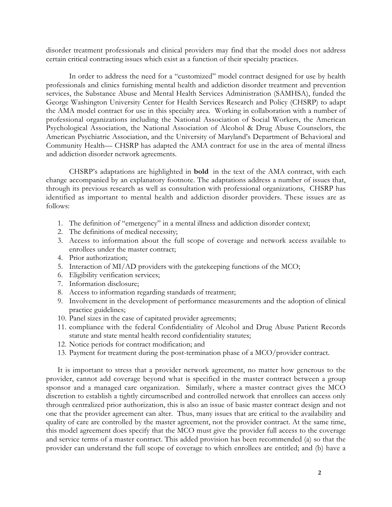disorder treatment professionals and clinical providers may find that the model does not address certain critical contracting issues which exist as a function of their specialty practices.

In order to address the need for a "customized" model contract designed for use by health professionals and clinics furnishing mental health and addiction disorder treatment and prevention services, the Substance Abuse and Mental Health Services Administration (SAMHSA), funded the George Washington University Center for Health Services Research and Policy (CHSRP) to adapt the AMA model contract for use in this specialty area. Working in collaboration with a number of professional organizations including the National Association of Social Workers, the American Psychological Association, the National Association of Alcohol & Drug Abuse Counselors, the American Psychiatric Association, and the University of Maryland's Department of Behavioral and Community Health— CHSRP has adapted the AMA contract for use in the area of mental illness and addiction disorder network agreements.

CHSRP's adaptations are highlighted in **bold** in the text of the AMA contract, with each change accompanied by an explanatory footnote. The adaptations address a number of issues that, through its previous research as well as consultation with professional organizations, CHSRP has identified as important to mental health and addiction disorder providers. These issues are as follows:

- 1. The definition of "emergency" in a mental illness and addiction disorder context;
- 2. The definitions of medical necessity;
- 3. Access to information about the full scope of coverage and network access available to enrollees under the master contract;
- 4. Prior authorization;
- 5. Interaction of MI/AD providers with the gatekeeping functions of the MCO;
- 6. Eligibility verification services;
- 7. Information disclosure;
- 8. Access to information regarding standards of treatment;
- 9. Involvement in the development of performance measurements and the adoption of clinical practice guidelines;
- 10. Panel sizes in the case of capitated provider agreements;
- 11. compliance with the federal Confidentiality of Alcohol and Drug Abuse Patient Records statute and state mental health record confidentiality statutes;
- 12. Notice periods for contract modification; and
- 13. Payment for treatment during the post-termination phase of a MCO/provider contract.

It is important to stress that a provider network agreement, no matter how generous to the provider, cannot add coverage beyond what is specified in the master contract between a group sponsor and a managed care organization. Similarly, where a master contract gives the MCO discretion to establish a tightly circumscribed and controlled network that enrollees can access only through centralized prior authorization, this is also an issue of basic master contract design and not one that the provider agreement can alter. Thus, many issues that are critical to the availability and quality of care are controlled by the master agreement, not the provider contract. At the same time, this model agreement does specify that the MCO must give the provider full access to the coverage and service terms of a master contract. This added provision has been recommended (a) so that the provider can understand the full scope of coverage to which enrollees are entitled; and (b) have a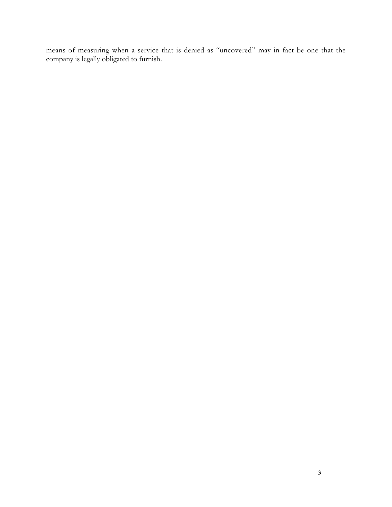means of measuring when a service that is denied as "uncovered" may in fact be one that the company is legally obligated to furnish.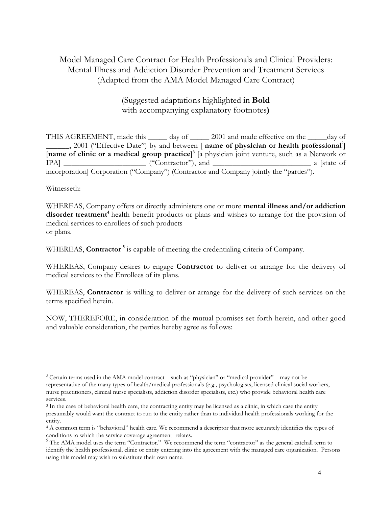Model Managed Care Contract for Health Professionals and Clinical Providers: Mental Illness and Addiction Disorder Prevention and Treatment Services (Adapted from the AMA Model Managed Care Contract)

> (Suggested adaptations highlighted in **Bold** with accompanying explanatory footnotes**)**

THIS AGREEMENT, made this \_\_\_\_\_\_ day of \_\_\_\_\_ 2001 and made effective on the \_\_\_\_\_day of \_\_\_\_\_\_, 2001 ("Effective Date") by and between [ name of physician or health professional<sup>2</sup>] [**name of clinic or a medical group practice**] <sup>3</sup> [a physician joint venture, such as a Network or IPA] \_\_\_\_\_\_\_\_\_\_\_\_\_\_\_\_\_\_\_\_\_ ("Contractor"), and \_\_\_\_\_\_\_\_\_\_\_\_\_\_\_\_\_\_\_\_\_\_\_\_\_ a [state of incorporation] Corporation ("Company") (Contractor and Company jointly the "parties").

Witnesseth:

 $\overline{a}$ 

WHEREAS, Company offers or directly administers one or more **mental illness and/or addiction** disorder treatment<sup>4</sup> health benefit products or plans and wishes to arrange for the provision of medical services to enrollees of such products or plans.

WHEREAS, **Contractor**<sup>5</sup> is capable of meeting the credentialing criteria of Company.

WHEREAS, Company desires to engage **Contractor** to deliver or arrange for the delivery of medical services to the Enrollees of its plans.

WHEREAS, **Contractor** is willing to deliver or arrange for the delivery of such services on the terms specified herein.

NOW, THEREFORE, in consideration of the mutual promises set forth herein, and other good and valuable consideration, the parties hereby agree as follows:

*<sup>2</sup>* Certain terms used in the AMA model contract—such as "physician" or "medical provider"—may not be representative of the many types of health/medical professionals (e.g., psychologists, licensed clinical social workers, nurse practitioners, clinical nurse specialists, addiction disorder specialists, etc.) who provide behavioral health care services.

<sup>3</sup> In the case of behavioral health care, the contracting entity may be licensed as a clinic, in which case the entity presumably would want the contract to run to the entity rather than to individual health professionals working for the entity.

<sup>4</sup> A common term is "behavioral" health care. We recommend a descriptor that more accurately identifies the types of conditions to which the service coverage agreement relates.

<sup>&</sup>lt;sup>5</sup> The AMA model uses the term "Contractor." We recommend the term "contractor" as the general catchall term to identify the health professional, clinic or entity entering into the agreement with the managed care organization. Persons using this model may wish to substitute their own name.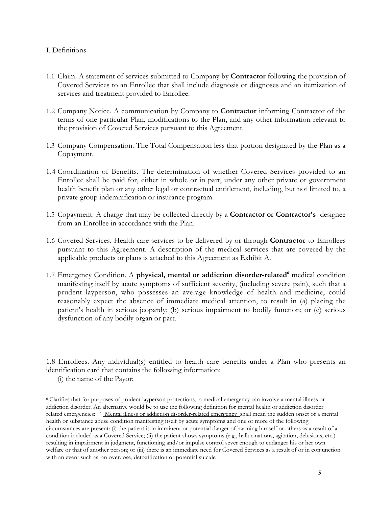#### I. Definitions

- 1.1 Claim. A statement of services submitted to Company by **Contractor** following the provision of Covered Services to an Enrollee that shall include diagnosis or diagnoses and an itemization of services and treatment provided to Enrollee.
- 1.2 Company Notice. A communication by Company to **Contractor** informing Contractor of the terms of one particular Plan, modifications to the Plan, and any other information relevant to the provision of Covered Services pursuant to this Agreement.
- 1.3 Company Compensation. The Total Compensation less that portion designated by the Plan as a Copayment.
- 1.4 Coordination of Benefits. The determination of whether Covered Services provided to an Enrollee shall be paid for, either in whole or in part, under any other private or government health benefit plan or any other legal or contractual entitlement, including, but not limited to, a private group indemnification or insurance program.
- 1.5 Copayment. A charge that may be collected directly by a **Contractor or Contractor's** designee from an Enrollee in accordance with the Plan.
- 1.6 Covered Services. Health care services to be delivered by or through **Contractor** to Enrollees pursuant to this Agreement. A description of the medical services that are covered by the applicable products or plans is attached to this Agreement as Exhibit A.
- 1.7 Emergency Condition. A physical, mental or addiction disorder-related<sup>6</sup> medical condition manifesting itself by acute symptoms of sufficient severity, (including severe pain), such that a prudent layperson, who possesses an average knowledge of health and medicine, could reasonably expect the absence of immediate medical attention, to result in (a) placing the patient's health in serious jeopardy; (b) serious impairment to bodily function; or (c) serious dysfunction of any bodily organ or part.

1.8 Enrollees. Any individual(s) entitled to health care benefits under a Plan who presents an identification card that contains the following information:

(i) the name of the Payor;

֦

<sup>6</sup> Clarifies that for purposes of prudent layperson protections, a medical emergency can involve a mental illness or addiction disorder. An alternative would be to use the following definition for mental health or addiction disorder related emergencies: " Mental illness or addiction disorder-related emergency shall mean the sudden onset of a mental health or substance abuse condition manifesting itself by acute symptoms and one or more of the following circumstances are present: (i) the patient is in imminent or potential danger of harming himself or others as a result of a condition included as a Covered Service; (ii) the patient shows symptoms (e.g., hallucinations, agitation, delusions, etc.) resulting in impairment in judgment, functioning and/or impulse control sever enough to endanger his or her own welfare or that of another person; or (iii) there is an immediate need for Covered Services as a result of or in conjunction with an event such as an overdose, detoxification or potential suicide*.*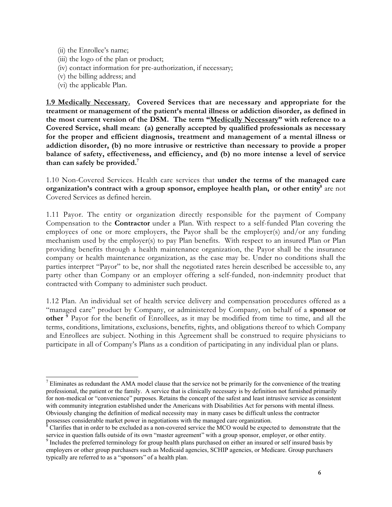- (ii) the Enrollee's name;
- (iii) the logo of the plan or product;
- (iv) contact information for pre-authorization, if necessary;
- (v) the billing address; and
- (vi) the applicable Plan.

 $\overline{a}$ 

**1.9 Medically Necessary. Covered Services that are necessary and appropriate for the treatment or management of the patient's mental illness or addiction disorder, as defined in the most current version of the DSM. The term "Medically Necessary" with reference to a Covered Service, shall mean: (a) generally accepted by qualified professionals as necessary for the proper and efficient diagnosis, treatment and management of a mental illness or addiction disorder, (b) no more intrusive or restrictive than necessary to provide a proper balance of safety, effectiveness, and efficiency, and (b) no more intense a level of service than can safely be provided.7**

1.10 Non-Covered Services. Health care services that **under the terms of the managed care organization's contract with a group sponsor, employee health plan, or other entity** are not Covered Services as defined herein.

1.11 Payor. The entity or organization directly responsible for the payment of Company Compensation to the **Contractor** under a Plan. With respect to a self-funded Plan covering the employees of one or more employers, the Payor shall be the employer(s) and/or any funding mechanism used by the employer(s) to pay Plan benefits. With respect to an insured Plan or Plan providing benefits through a health maintenance organization, the Payor shall be the insurance company or health maintenance organization, as the case may be. Under no conditions shall the parties interpret "Payor" to be, nor shall the negotiated rates herein described be accessible to, any party other than Company or an employer offering a self-funded, non-indemnity product that contracted with Company to administer such product.

1.12 Plan. An individual set of health service delivery and compensation procedures offered as a "managed care" product by Company, or administered by Company, on behalf of a **sponsor or other <sup>9</sup>** Payor for the benefit of Enrollees, as it may be modified from time to time, and all the terms, conditions, limitations, exclusions, benefits, rights, and obligations thereof to which Company and Enrollees are subject. Nothing in this Agreement shall be construed to require physicians to participate in all of Company's Plans as a condition of participating in any individual plan or plans.

 $<sup>7</sup>$  Eliminates as redundant the AMA model clause that the service not be primarily for the convenience of the treating</sup> professional, the patient or the family. A service that is clinically necessary is by definition not furnished primarily for non-medical or "convenience" purposes. Retains the concept of the safest and least intrusive service as consistent with community integration established under the Americans with Disabilities Act for persons with mental illness. Obviously changing the definition of medical necessity may in many cases be difficult unless the contractor possesses considerable market power in negotiations with the managed care organization.

 $8$  Clarifies that in order to be excluded as a non-covered service the MCO would be expected to demonstrate that the service in question falls outside of its own "master agreement" with a group sponsor, employer, or other entity.

<sup>&</sup>lt;sup>9</sup> Includes the preferred terminology for group health plans purchased on either an insured or self insured basis by employers or other group purchasers such as Medicaid agencies, SCHIP agencies, or Medicare. Group purchasers typically are referred to as a "sponsors" of a health plan.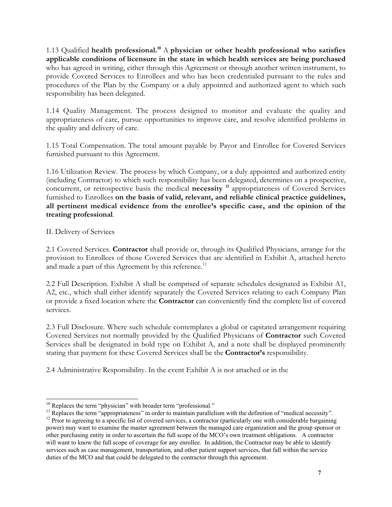1.13 Qualified **health professional.<sup>10</sup>** A **physician or other health professional who satisfies applicable conditions of licensure in the state in which health services are being purchased** who has agreed in writing, either through this Agreement or through another written instrument, to provide Covered Services to Enrollees and who has been credentialed pursuant to the rules and procedures of the Plan by the Company or a duly appointed and authorized agent to which such responsibility has been delegated.

1.14 Quality Management. The process designed to monitor and evaluate the quality and appropriateness of care, pursue opportunities to improve care, and resolve identified problems in the quality and delivery of care.

1.15 Total Compensation. The total amount payable by Payor and Enrollee for Covered Services furnished pursuant to this Agreement.

1.16 Utilization Review. The process by which Company, or a duly appointed and authorized entity (including Contractor) to which such responsibility has been delegated, determines on a prospective, concurrent, or retrospective basis the medical **necessity <sup>11</sup>** appropriateness of Covered Services furnished to Enrollees **on the basis of valid, relevant, and reliable clinical practice guidelines, all pertinent medical evidence from the enrollee's specific case, and the opinion of the treating professional**.

# II. Delivery of Services

2.1 Covered Services. **Contractor** shall provide or, through its Qualified Physicians, arrange for the provision to Enrollees of those Covered Services that are identified in Exhibit A, attached hereto and made a part of this Agreement by this reference.<sup>12</sup>

2.2 Full Description. Exhibit A shall be comprised of separate schedules designated as Exhibit A1, A2, etc., which shall either identify separately the Covered Services relating to each Company Plan or provide a fixed location where the **Contractor** can conveniently find the complete list of covered services.

2.3 Full Disclosure. Where such schedule contemplates a global or capitated arrangement requiring Covered Services not normally provided by the Qualified Physicians of **Contractor** such Covered Services shall be designated in bold type on Exhibit A, and a note shall be displayed prominently stating that payment for these Covered Services shall be the **Contractor's** responsibility.

2.4 Administrative Responsibility. In the event Exhibit A is not attached or in the

 $\overline{a}$  $10$  Replaces the term "physician" with broader term "professional."

<sup>&</sup>lt;sup>11</sup> Replaces the term "appropriateness" in order to maintain parallelism with the definition of "medical necessity".

 $12$  Prior to agreeing to a specific list of covered services, a contractor (particularly one with considerable bargaining power) may want to examine the master agreement between the managed care organization and the group sponsor or other purchasing entity in order to ascertain the full scope of the MCO's own treatment obligations. A contractor will want to know the full scope of coverage for any enrollee. In addition, the Contractor may be able to identify services such as case management, transportation, and other patient support services, that fall within the service duties of the MCO and that could be delegated to the contractor through this agreement.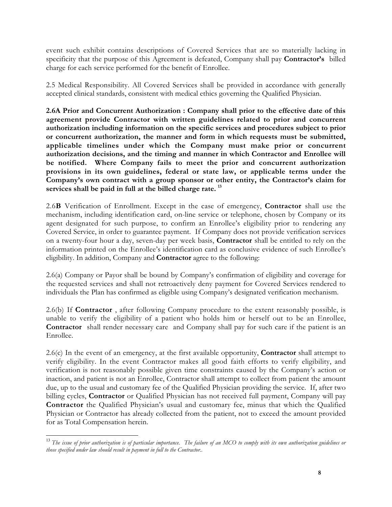event such exhibit contains descriptions of Covered Services that are so materially lacking in specificity that the purpose of this Agreement is defeated, Company shall pay **Contractor's** billed charge for each service performed for the benefit of Enrollee.

2.5 Medical Responsibility. All Covered Services shall be provided in accordance with generally accepted clinical standards, consistent with medical ethics governing the Qualified Physician.

**2.6A Prior and Concurrent Authorization : Company shall prior to the effective date of this agreement provide Contractor with written guidelines related to prior and concurrent authorization including information on the specific services and procedures subject to prior or concurrent authorization, the manner and form in which requests must be submitted, applicable timelines under which the Company must make prior or concurrent authorization decisions, and the timing and manner in which Contractor and Enrollee will be notified. Where Company fails to meet the prior and concurrent authorization provisions in its own guidelines, federal or state law, or applicable terms under the Company's own contract with a group sponsor or other entity, the Contractor's claim for services shall be paid in full at the billed charge rate. 13**

2.6**B** Verification of Enrollment. Except in the case of emergency, **Contractor** shall use the mechanism, including identification card, on-line service or telephone, chosen by Company or its agent designated for such purpose, to confirm an Enrollee's eligibility prior to rendering any Covered Service, in order to guarantee payment. If Company does not provide verification services on a twenty-four hour a day, seven-day per week basis, **Contractor** shall be entitled to rely on the information printed on the Enrollee's identification card as conclusive evidence of such Enrollee's eligibility. In addition, Company and **Contractor** agree to the following:

2.6(a) Company or Payor shall be bound by Company's confirmation of eligibility and coverage for the requested services and shall not retroactively deny payment for Covered Services rendered to individuals the Plan has confirmed as eligible using Company's designated verification mechanism.

2.6(b) If **Contractor** , after following Company procedure to the extent reasonably possible, is unable to verify the eligibility of a patient who holds him or herself out to be an Enrollee, **Contractor** shall render necessary care and Company shall pay for such care if the patient is an Enrollee.

2.6(c) In the event of an emergency, at the first available opportunity, **Contractor** shall attempt to verify eligibility. In the event Contractor makes all good faith efforts to verify eligibility, and verification is not reasonably possible given time constraints caused by the Company's action or inaction, and patient is not an Enrollee, Contractor shall attempt to collect from patient the amount due, up to the usual and customary fee of the Qualified Physician providing the service. If, after two billing cycles, **Contractor** or Qualified Physician has not received full payment, Company will pay **Contractor** the Qualified Physician's usual and customary fee, minus that which the Qualified Physician or Contractor has already collected from the patient, not to exceed the amount provided for as Total Compensation herein.

֦

<sup>13</sup> *The issue of prior authorization is of particular importance. The failure of an MCO to comply with its own authorization guidelines or those specified under law should result in payment in full to the Contractor..*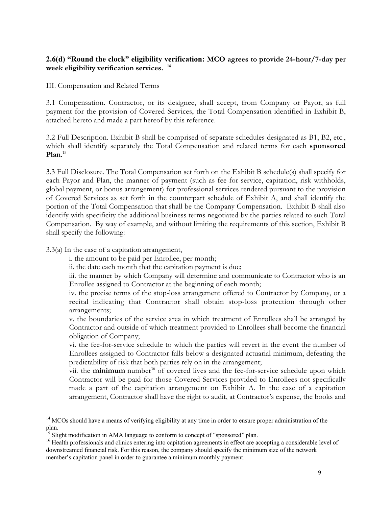## **2.6(d) "Round the clock" eligibility verification: MCO agrees to provide 24-hour/7-day per week eligibility verification services. <sup>14</sup>**

III. Compensation and Related Terms

3.1 Compensation. Contractor, or its designee, shall accept, from Company or Payor, as full payment for the provision of Covered Services, the Total Compensation identified in Exhibit B, attached hereto and made a part hereof by this reference.

3.2 Full Description. Exhibit B shall be comprised of separate schedules designated as B1, B2, etc., which shall identify separately the Total Compensation and related terms for each **sponsored Plan**. 15

3.3 Full Disclosure. The Total Compensation set forth on the Exhibit B schedule(s) shall specify for each Payor and Plan, the manner of payment (such as fee-for-service, capitation, risk withholds, global payment, or bonus arrangement) for professional services rendered pursuant to the provision of Covered Services as set forth in the counterpart schedule of Exhibit A, and shall identify the portion of the Total Compensation that shall be the Company Compensation. Exhibit B shall also identify with specificity the additional business terms negotiated by the parties related to such Total Compensation. By way of example, and without limiting the requirements of this section, Exhibit B shall specify the following:

3.3(a) In the case of a capitation arrangement,

i. the amount to be paid per Enrollee, per month;

ii. the date each month that the capitation payment is due;

iii. the manner by which Company will determine and communicate to Contractor who is an Enrollee assigned to Contractor at the beginning of each month;

iv. the precise terms of the stop-loss arrangement offered to Contractor by Company, or a recital indicating that Contractor shall obtain stop-loss protection through other arrangements;

v. the boundaries of the service area in which treatment of Enrollees shall be arranged by Contractor and outside of which treatment provided to Enrollees shall become the financial obligation of Company;

vi. the fee-for-service schedule to which the parties will revert in the event the number of Enrollees assigned to Contractor falls below a designated actuarial minimum, defeating the predictability of risk that both parties rely on in the arrangement;

vii. the **minimum** number<sup>16</sup> of covered lives and the fee-for-service schedule upon which Contractor will be paid for those Covered Services provided to Enrollees not specifically made a part of the capitation arrangement on Exhibit A. In the case of a capitation arrangement, Contractor shall have the right to audit, at Contractor's expense, the books and

 $\overline{a}$ <sup>14</sup> MCOs should have a means of verifying eligibility at any time in order to ensure proper administration of the plan.

<sup>&</sup>lt;sup>15</sup> Slight modification in AMA language to conform to concept of "sponsored" plan.

<sup>&</sup>lt;sup>16</sup> Health professionals and clinics entering into capitation agreements in effect are accepting a considerable level of downstreamed financial risk. For this reason, the company should specify the minimum size of the network member's capitation panel in order to guarantee a minimum monthly payment.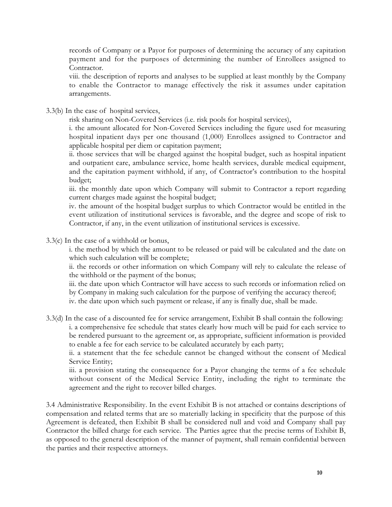records of Company or a Payor for purposes of determining the accuracy of any capitation payment and for the purposes of determining the number of Enrollees assigned to Contractor.

viii. the description of reports and analyses to be supplied at least monthly by the Company to enable the Contractor to manage effectively the risk it assumes under capitation arrangements.

3.3(b) In the case of hospital services,

risk sharing on Non-Covered Services (i.e. risk pools for hospital services),

i. the amount allocated for Non-Covered Services including the figure used for measuring hospital inpatient days per one thousand (1,000) Enrollees assigned to Contractor and applicable hospital per diem or capitation payment;

ii. those services that will be charged against the hospital budget, such as hospital inpatient and outpatient care, ambulance service, home health services, durable medical equipment, and the capitation payment withhold, if any, of Contractor's contribution to the hospital budget;

iii. the monthly date upon which Company will submit to Contractor a report regarding current charges made against the hospital budget;

iv. the amount of the hospital budget surplus to which Contractor would be entitled in the event utilization of institutional services is favorable, and the degree and scope of risk to Contractor, if any, in the event utilization of institutional services is excessive.

3.3(c) In the case of a withhold or bonus,

i. the method by which the amount to be released or paid will be calculated and the date on which such calculation will be complete;

ii. the records or other information on which Company will rely to calculate the release of the withhold or the payment of the bonus;

iii. the date upon which Contractor will have access to such records or information relied on by Company in making such calculation for the purpose of verifying the accuracy thereof;

iv. the date upon which such payment or release, if any is finally due, shall be made.

3.3(d) In the case of a discounted fee for service arrangement, Exhibit B shall contain the following: i. a comprehensive fee schedule that states clearly how much will be paid for each service to be rendered pursuant to the agreement or, as appropriate, sufficient information is provided to enable a fee for each service to be calculated accurately by each party;

ii. a statement that the fee schedule cannot be changed without the consent of Medical Service Entity;

iii. a provision stating the consequence for a Payor changing the terms of a fee schedule without consent of the Medical Service Entity, including the right to terminate the agreement and the right to recover billed charges.

3.4 Administrative Responsibility. In the event Exhibit B is not attached or contains descriptions of compensation and related terms that are so materially lacking in specificity that the purpose of this Agreement is defeated, then Exhibit B shall be considered null and void and Company shall pay Contractor the billed charge for each service. The Parties agree that the precise terms of Exhibit B, as opposed to the general description of the manner of payment, shall remain confidential between the parties and their respective attorneys.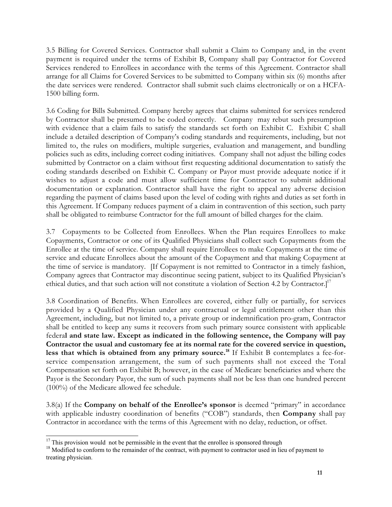3.5 Billing for Covered Services. Contractor shall submit a Claim to Company and, in the event payment is required under the terms of Exhibit B, Company shall pay Contractor for Covered Services rendered to Enrollees in accordance with the terms of this Agreement. Contractor shall arrange for all Claims for Covered Services to be submitted to Company within six (6) months after the date services were rendered. Contractor shall submit such claims electronically or on a HCFA-1500 billing form.

3.6 Coding for Bills Submitted. Company hereby agrees that claims submitted for services rendered by Contractor shall be presumed to be coded correctly. Company may rebut such presumption with evidence that a claim fails to satisfy the standards set forth on Exhibit C. Exhibit C shall include a detailed description of Company's coding standards and requirements, including, but not limited to, the rules on modifiers, multiple surgeries, evaluation and management, and bundling policies such as edits, including correct coding initiatives. Company shall not adjust the billing codes submitted by Contractor on a claim without first requesting additional documentation to satisfy the coding standards described on Exhibit C. Company or Payor must provide adequate notice if it wishes to adjust a code and must allow sufficient time for Contractor to submit additional documentation or explanation. Contractor shall have the right to appeal any adverse decision regarding the payment of claims based upon the level of coding with rights and duties as set forth in this Agreement. If Company reduces payment of a claim in contravention of this section, such party shall be obligated to reimburse Contractor for the full amount of billed charges for the claim.

3.7 Copayments to be Collected from Enrollees. When the Plan requires Enrollees to make Copayments, Contractor or one of its Qualified Physicians shall collect such Copayments from the Enrollee at the time of service. Company shall require Enrollees to make Copayments at the time of service and educate Enrollees about the amount of the Copayment and that making Copayment at the time of service is mandatory. [If Copayment is not remitted to Contractor in a timely fashion, Company agrees that Contractor may discontinue seeing patient, subject to its Qualified Physician's ethical duties, and that such action will not constitute a violation of Section 4.2 by Contractor. $]^{1/7}$ 

3.8 Coordination of Benefits. When Enrollees are covered, either fully or partially, for services provided by a Qualified Physician under any contractual or legal entitlement other than this Agreement, including, but not limited to, a private group or indemnification pro-gram, Contractor shall be entitled to keep any sums it recovers from such primary source consistent with applicable federa**l and state law. Except as indicated in the following sentence, the Company will pay Contractor the usual and customary fee at its normal rate for the covered service in question, less that which is obtained from any primary source.<sup>18</sup>** If Exhibit B contemplates a fee-forservice compensation arrangement, the sum of such payments shall not exceed the Total Compensation set forth on Exhibit B; however, in the case of Medicare beneficiaries and where the Payor is the Secondary Payor, the sum of such payments shall not be less than one hundred percent (100%) of the Medicare allowed fee schedule.

3.8(a) If the **Company on behalf of the Enrollee's sponsor** is deemed "primary" in accordance with applicable industry coordination of benefits ("COB") standards, then **Company** shall pay Contractor in accordance with the terms of this Agreement with no delay, reduction, or offset.

 $\overline{a}$  $17$  This provision would not be permissible in the event that the enrollee is sponsored through

<sup>&</sup>lt;sup>18</sup> Modified to conform to the remainder of the contract, with payment to contractor used in lieu of payment to treating physician.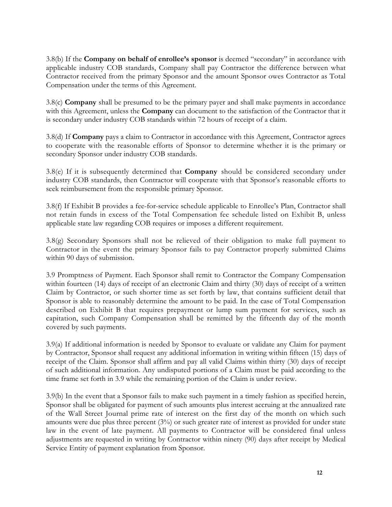3.8(b) If the **Company on behalf of enrollee's sponsor** is deemed "secondary" in accordance with applicable industry COB standards, Company shall pay Contractor the difference between what Contractor received from the primary Sponsor and the amount Sponsor owes Contractor as Total Compensation under the terms of this Agreement.

3.8(c) **Company** shall be presumed to be the primary payer and shall make payments in accordance with this Agreement, unless the **Company** can document to the satisfaction of the Contractor that it is secondary under industry COB standards within 72 hours of receipt of a claim.

3.8(d) If **Company** pays a claim to Contractor in accordance with this Agreement, Contractor agrees to cooperate with the reasonable efforts of Sponsor to determine whether it is the primary or secondary Sponsor under industry COB standards.

3.8(e) If it is subsequently determined that **Company** should be considered secondary under industry COB standards, then Contractor will cooperate with that Sponsor's reasonable efforts to seek reimbursement from the responsible primary Sponsor.

3.8(f) If Exhibit B provides a fee-for-service schedule applicable to Enrollee's Plan, Contractor shall not retain funds in excess of the Total Compensation fee schedule listed on Exhibit B, unless applicable state law regarding COB requires or imposes a different requirement.

3.8(g) Secondary Sponsors shall not be relieved of their obligation to make full payment to Contractor in the event the primary Sponsor fails to pay Contractor properly submitted Claims within 90 days of submission.

3.9 Promptness of Payment. Each Sponsor shall remit to Contractor the Company Compensation within fourteen (14) days of receipt of an electronic Claim and thirty (30) days of receipt of a written Claim by Contractor, or such shorter time as set forth by law, that contains sufficient detail that Sponsor is able to reasonably determine the amount to be paid. In the case of Total Compensation described on Exhibit B that requires prepayment or lump sum payment for services, such as capitation, such Company Compensation shall be remitted by the fifteenth day of the month covered by such payments.

3.9(a) If additional information is needed by Sponsor to evaluate or validate any Claim for payment by Contractor, Sponsor shall request any additional information in writing within fifteen (15) days of receipt of the Claim. Sponsor shall affirm and pay all valid Claims within thirty (30) days of receipt of such additional information. Any undisputed portions of a Claim must be paid according to the time frame set forth in 3.9 while the remaining portion of the Claim is under review.

3.9(b) In the event that a Sponsor fails to make such payment in a timely fashion as specified herein, Sponsor shall be obligated for payment of such amounts plus interest accruing at the annualized rate of the Wall Street Journal prime rate of interest on the first day of the month on which such amounts were due plus three percent (3%) or such greater rate of interest as provided for under state law in the event of late payment. All payments to Contractor will be considered final unless adjustments are requested in writing by Contractor within ninety (90) days after receipt by Medical Service Entity of payment explanation from Sponsor.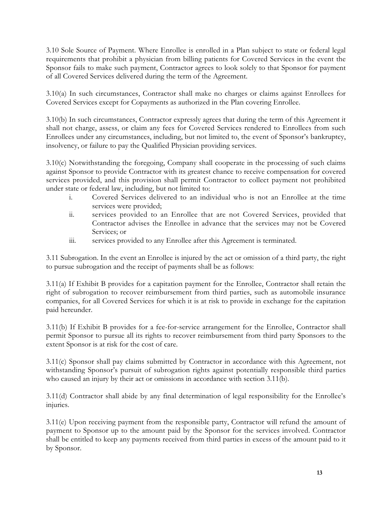3.10 Sole Source of Payment. Where Enrollee is enrolled in a Plan subject to state or federal legal requirements that prohibit a physician from billing patients for Covered Services in the event the Sponsor fails to make such payment, Contractor agrees to look solely to that Sponsor for payment of all Covered Services delivered during the term of the Agreement.

3.10(a) In such circumstances, Contractor shall make no charges or claims against Enrollees for Covered Services except for Copayments as authorized in the Plan covering Enrollee.

3.10(b) In such circumstances, Contractor expressly agrees that during the term of this Agreement it shall not charge, assess, or claim any fees for Covered Services rendered to Enrollees from such Enrollees under any circumstances, including, but not limited to, the event of Sponsor's bankruptcy, insolvency, or failure to pay the Qualified Physician providing services.

3.10(c) Notwithstanding the foregoing, Company shall cooperate in the processing of such claims against Sponsor to provide Contractor with its greatest chance to receive compensation for covered services provided, and this provision shall permit Contractor to collect payment not prohibited under state or federal law, including, but not limited to:

- i. Covered Services delivered to an individual who is not an Enrollee at the time services were provided;
- ii. services provided to an Enrollee that are not Covered Services, provided that Contractor advises the Enrollee in advance that the services may not be Covered Services; or
- iii. services provided to any Enrollee after this Agreement is terminated.

3.11 Subrogation. In the event an Enrollee is injured by the act or omission of a third party, the right to pursue subrogation and the receipt of payments shall be as follows:

3.11(a) If Exhibit B provides for a capitation payment for the Enrollee, Contractor shall retain the right of subrogation to recover reimbursement from third parties, such as automobile insurance companies, for all Covered Services for which it is at risk to provide in exchange for the capitation paid hereunder.

3.11(b) If Exhibit B provides for a fee-for-service arrangement for the Enrollee, Contractor shall permit Sponsor to pursue all its rights to recover reimbursement from third party Sponsors to the extent Sponsor is at risk for the cost of care.

3.11(c) Sponsor shall pay claims submitted by Contractor in accordance with this Agreement, not withstanding Sponsor's pursuit of subrogation rights against potentially responsible third parties who caused an injury by their act or omissions in accordance with section 3.11(b).

3.11(d) Contractor shall abide by any final determination of legal responsibility for the Enrollee's injuries.

3.11(e) Upon receiving payment from the responsible party, Contractor will refund the amount of payment to Sponsor up to the amount paid by the Sponsor for the services involved. Contractor shall be entitled to keep any payments received from third parties in excess of the amount paid to it by Sponsor.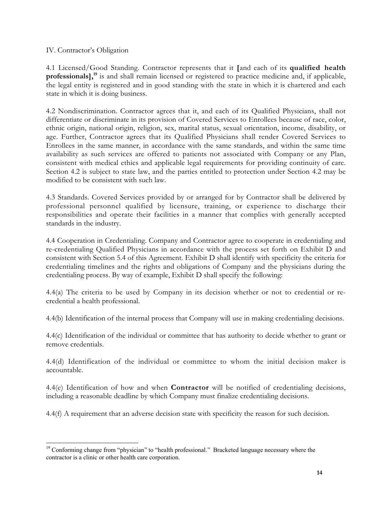#### IV. Contractor's Obligation

4.1 Licensed/Good Standing. Contractor represents that it **[**and each of its **qualified health professionals],**<sup>19</sup> is and shall remain licensed or registered to practice medicine and, if applicable, the legal entity is registered and in good standing with the state in which it is chartered and each state in which it is doing business.

4.2 Nondiscrimination. Contractor agrees that it, and each of its Qualified Physicians, shall not differentiate or discriminate in its provision of Covered Services to Enrollees because of race, color, ethnic origin, national origin, religion, sex, marital status, sexual orientation, income, disability, or age. Further, Contractor agrees that its Qualified Physicians shall render Covered Services to Enrollees in the same manner, in accordance with the same standards, and within the same time availability as such services are offered to patients not associated with Company or any Plan, consistent with medical ethics and applicable legal requirements for providing continuity of care. Section 4.2 is subject to state law, and the parties entitled to protection under Section 4.2 may be modified to be consistent with such law.

4.3 Standards. Covered Services provided by or arranged for by Contractor shall be delivered by professional personnel qualified by licensure, training, or experience to discharge their responsibilities and operate their facilities in a manner that complies with generally accepted standards in the industry.

4.4 Cooperation in Credentialing. Company and Contractor agree to cooperate in credentialing and re-credentialing Qualified Physicians in accordance with the process set forth on Exhibit D and consistent with Section 5.4 of this Agreement. Exhibit D shall identify with specificity the criteria for credentialing timelines and the rights and obligations of Company and the physicians during the credentialing process. By way of example, Exhibit D shall specify the following:

4.4(a) The criteria to be used by Company in its decision whether or not to credential or recredential a health professional.

4.4(b) Identification of the internal process that Company will use in making credentialing decisions.

4.4(c) Identification of the individual or committee that has authority to decide whether to grant or remove credentials.

4.4(d) Identification of the individual or committee to whom the initial decision maker is accountable.

4.4(e) Identification of how and when **Contractor** will be notified of credentialing decisions, including a reasonable deadline by which Company must finalize credentialing decisions.

4.4(f) A requirement that an adverse decision state with specificity the reason for such decision.

 $\overline{a}$ <sup>19</sup> Conforming change from "physician" to "health professional." Bracketed language necessary where the contractor is a clinic or other health care corporation.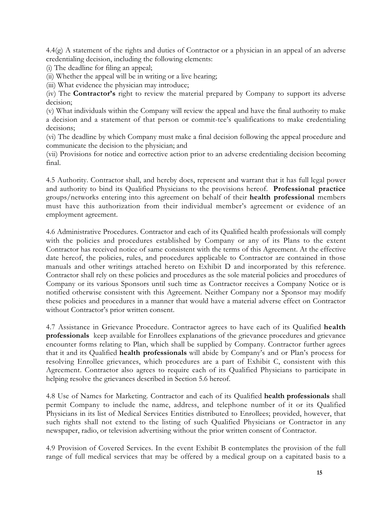4.4(g) A statement of the rights and duties of Contractor or a physician in an appeal of an adverse credentialing decision, including the following elements:

(i) The deadline for filing an appeal;

(ii) Whether the appeal will be in writing or a live hearing;

(iii) What evidence the physician may introduce;

(iv) The **Contractor's** right to review the material prepared by Company to support its adverse decision;

(v) What individuals within the Company will review the appeal and have the final authority to make a decision and a statement of that person or commit-tee's qualifications to make credentialing decisions;

(vi) The deadline by which Company must make a final decision following the appeal procedure and communicate the decision to the physician; and

(vii) Provisions for notice and corrective action prior to an adverse credentialing decision becoming final.

4.5 Authority. Contractor shall, and hereby does, represent and warrant that it has full legal power and authority to bind its Qualified Physicians to the provisions hereof. **Professional practice** groups/networks entering into this agreement on behalf of their **health professional** members must have this authorization from their individual member's agreement or evidence of an employment agreement.

4.6 Administrative Procedures. Contractor and each of its Qualified health professionals will comply with the policies and procedures established by Company or any of its Plans to the extent Contractor has received notice of same consistent with the terms of this Agreement. At the effective date hereof, the policies, rules, and procedures applicable to Contractor are contained in those manuals and other writings attached hereto on Exhibit D and incorporated by this reference. Contractor shall rely on these policies and procedures as the sole material policies and procedures of Company or its various Sponsors until such time as Contractor receives a Company Notice or is notified otherwise consistent with this Agreement. Neither Company nor a Sponsor may modify these policies and procedures in a manner that would have a material adverse effect on Contractor without Contractor's prior written consent.

4.7 Assistance in Grievance Procedure. Contractor agrees to have each of its Qualified **health professionals** keep available for Enrollees explanations of the grievance procedures and grievance encounter forms relating to Plan, which shall be supplied by Company. Contractor further agrees that it and its Qualified **health professionals** will abide by Company's and or Plan's process for resolving Enrollee grievances, which procedures are a part of Exhibit C, consistent with this Agreement. Contractor also agrees to require each of its Qualified Physicians to participate in helping resolve the grievances described in Section 5.6 hereof.

4.8 Use of Names for Marketing. Contractor and each of its Qualified **health professionals** shall permit Company to include the name, address, and telephone number of it or its Qualified Physicians in its list of Medical Services Entities distributed to Enrollees; provided, however, that such rights shall not extend to the listing of such Qualified Physicians or Contractor in any newspaper, radio, or television advertising without the prior written consent of Contractor.

4.9 Provision of Covered Services. In the event Exhibit B contemplates the provision of the full range of full medical services that may be offered by a medical group on a capitated basis to a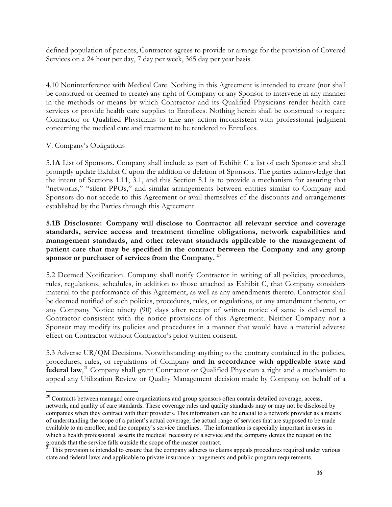defined population of patients, Contractor agrees to provide or arrange for the provision of Covered Services on a 24 hour per day, 7 day per week, 365 day per year basis.

4.10 Noninterference with Medical Care. Nothing in this Agreement is intended to create (nor shall be construed or deemed to create) any right of Company or any Sponsor to intervene in any manner in the methods or means by which Contractor and its Qualified Physicians render health care services or provide health care supplies to Enrollees. Nothing herein shall be construed to require Contractor or Qualified Physicians to take any action inconsistent with professional judgment concerning the medical care and treatment to be rendered to Enrollees.

## V. Company's Obligations

5.1**A** List of Sponsors. Company shall include as part of Exhibit C a list of each Sponsor and shall promptly update Exhibit C upon the addition or deletion of Sponsors. The parties acknowledge that the intent of Sections 1.11, 3.1, and this Section 5.1 is to provide a mechanism for assuring that "networks," "silent PPOs," and similar arrangements between entities similar to Company and Sponsors do not accede to this Agreement or avail themselves of the discounts and arrangements established by the Parties through this Agreement.

# **5.1B Disclosure: Company will disclose to Contractor all relevant service and coverage standards, service access and treatment timeline obligations, network capabilities and management standards, and other relevant standards applicable to the management of patient care that may be specified in the contract between the Company and any group sponsor or purchaser of services from the Company. 20**

5.2 Deemed Notification. Company shall notify Contractor in writing of all policies, procedures, rules, regulations, schedules, in addition to those attached as Exhibit C, that Company considers material to the performance of this Agreement, as well as any amendments thereto. Contractor shall be deemed notified of such policies, procedures, rules, or regulations, or any amendment thereto, or any Company Notice ninety (90) days after receipt of written notice of same is delivered to Contractor consistent with the notice provisions of this Agreement. Neither Company nor a Sponsor may modify its policies and procedures in a manner that would have a material adverse effect on Contractor without Contractor's prior written consent.

5.3 Adverse UR/QM Decisions. Notwithstanding anything to the contrary contained in the policies, procedures, rules, or regulations of Company **and in accordance with applicable state and federal law**, <sup>21</sup> Company shall grant Contractor or Qualified Physician a right and a mechanism to appeal any Utilization Review or Quality Management decision made by Company on behalf of a

 $\overline{a}$ <sup>20</sup> Contracts between managed care organizations and group sponsors often contain detailed coverage, access, network, and quality of care standards. These coverage rules and quality standards may or may not be disclosed by companies when they contract with their providers. This information can be crucial to a network provider as a means of understanding the scope of a patient's actual coverage, the actual range of services that are supposed to be made available to an enrollee, and the company's service timelines. The information is especially important in cases in which a health professional asserts the medical necessity of a service and the company denies the request on the grounds that the service falls outside the scope of the master contract.

<sup>&</sup>lt;sup>21</sup> This provision is intended to ensure that the company adheres to claims appeals procedures required under various state and federal laws and applicable to private insurance arrangements and public program requirements.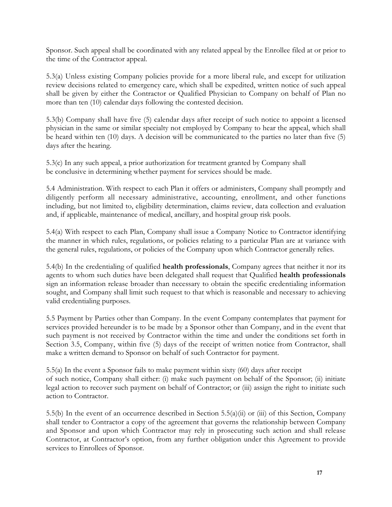Sponsor. Such appeal shall be coordinated with any related appeal by the Enrollee filed at or prior to the time of the Contractor appeal.

5.3(a) Unless existing Company policies provide for a more liberal rule, and except for utilization review decisions related to emergency care, which shall be expedited, written notice of such appeal shall be given by either the Contractor or Qualified Physician to Company on behalf of Plan no more than ten (10) calendar days following the contested decision.

5.3(b) Company shall have five (5) calendar days after receipt of such notice to appoint a licensed physician in the same or similar specialty not employed by Company to hear the appeal, which shall be heard within ten (10) days. A decision will be communicated to the parties no later than five (5) days after the hearing.

5.3(c) In any such appeal, a prior authorization for treatment granted by Company shall be conclusive in determining whether payment for services should be made.

5.4 Administration. With respect to each Plan it offers or administers, Company shall promptly and diligently perform all necessary administrative, accounting, enrollment, and other functions including, but not limited to, eligibility determination, claims review, data collection and evaluation and, if applicable, maintenance of medical, ancillary, and hospital group risk pools.

5.4(a) With respect to each Plan, Company shall issue a Company Notice to Contractor identifying the manner in which rules, regulations, or policies relating to a particular Plan are at variance with the general rules, regulations, or policies of the Company upon which Contractor generally relies.

5.4(b) In the credentialing of qualified **health professionals**, Company agrees that neither it nor its agents to whom such duties have been delegated shall request that Qualified **health professionals** sign an information release broader than necessary to obtain the specific credentialing information sought, and Company shall limit such request to that which is reasonable and necessary to achieving valid credentialing purposes.

5.5 Payment by Parties other than Company. In the event Company contemplates that payment for services provided hereunder is to be made by a Sponsor other than Company, and in the event that such payment is not received by Contractor within the time and under the conditions set forth in Section 3.5, Company, within five (5) days of the receipt of written notice from Contractor, shall make a written demand to Sponsor on behalf of such Contractor for payment.

5.5(a) In the event a Sponsor fails to make payment within sixty (60) days after receipt of such notice, Company shall either: (i) make such payment on behalf of the Sponsor; (ii) initiate legal action to recover such payment on behalf of Contractor; or (iii) assign the right to initiate such action to Contractor.

5.5(b) In the event of an occurrence described in Section 5.5(a)(ii) or (iii) of this Section, Company shall tender to Contractor a copy of the agreement that governs the relationship between Company and Sponsor and upon which Contractor may rely in prosecuting such action and shall release Contractor, at Contractor's option, from any further obligation under this Agreement to provide services to Enrollees of Sponsor.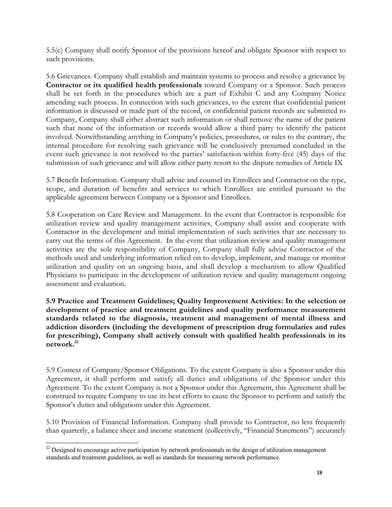5.5(c) Company shall notify Sponsor of the provisions hereof and obligate Sponsor with respect to such provisions.

5.6 Grievances. Company shall establish and maintain systems to process and resolve a grievance by **Contractor or its qualified health professionals** toward Company or a Sponsor. Such process shall be set forth in the procedures which are a part of Exhibit C and any Company Notice amending such process. In connection with such grievances, to the extent that confidential patient information is discussed or made part of the record, or confidential patient records are submitted to Company, Company shall either abstract such information or shall remove the name of the patient such that none of the information or records would allow a third party to identify the patient involved. Notwithstanding anything in Company's policies, procedures, or rules to the contrary, the internal procedure for resolving such grievance will be conclusively presumed concluded in the event such grievance is not resolved to the parties' satisfaction within forty-five (45) days of the submission of such grievance and will allow either party resort to the dispute remedies of Article IX

5.7 Benefit Information. Company shall advise and counsel its Enrollees and Contractor on the type, scope, and duration of benefits and services to which Enrollees are entitled pursuant to the applicable agreement between Company or a Sponsor and Enrollees.

5.8 Cooperation on Care Review and Management. In the event that Contractor is responsible for utilization review and quality management activities, Company shall assist and cooperate with Contractor in the development and initial implementation of such activities that are necessary to carry out the terms of this Agreement. In the event that utilization review and quality management activities are the sole responsibility of Company, Company shall fully advise Contractor of the methods used and underlying information relied on to develop, implement, and manage or monitor utilization and quality on an ongoing basis, and shall develop a mechanism to allow Qualified Physicians to participate in the development of utilization review and quality management ongoing assessment and evaluation.

**5.9 Practice and Treatment Guidelines; Quality Improvement Activities: In the selection or development of practice and treatment guidelines and quality performance measurement standards related to the diagnosis, treatment and management of mental illness and addiction disorders (including the development of prescription drug formularies and rules for prescribing), Company shall actively consult with qualified health professionals in its network.22**

5.9 Context of Company/Sponsor Obligations. To the extent Company is also a Sponsor under this Agreement, it shall perform and satisfy all duties and obligations of the Sponsor under this Agreement. To the extent Company is not a Sponsor under this Agreement, this Agreement shall be construed to require Company to use its best efforts to cause the Sponsor to perform and satisfy the Sponsor's duties and obligations under this Agreement.

5.10 Provision of Financial Information. Company shall provide to Contractor, no less frequently than quarterly, a balance sheet and income statement (collectively, "Financial Statements") accurately

 $\overline{a}$  $22$  Designed to encourage active participation by network professionals in the design of utilization management standards and treatment guidelines, as well as standards for measuring network performance.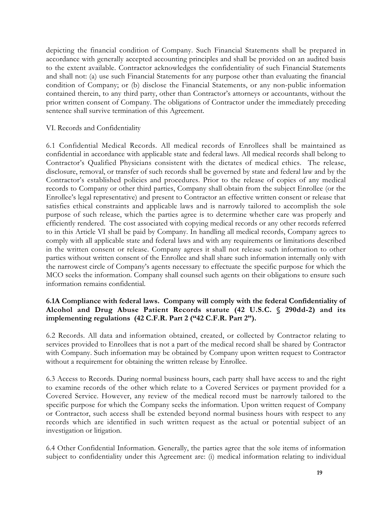depicting the financial condition of Company. Such Financial Statements shall be prepared in accordance with generally accepted accounting principles and shall be provided on an audited basis to the extent available. Contractor acknowledges the confidentiality of such Financial Statements and shall not: (a) use such Financial Statements for any purpose other than evaluating the financial condition of Company; or (b) disclose the Financial Statements, or any non-public information contained therein, to any third party, other than Contractor's attorneys or accountants, without the prior written consent of Company. The obligations of Contractor under the immediately preceding sentence shall survive termination of this Agreement.

### VI. Records and Confidentiality

6.1 Confidential Medical Records. All medical records of Enrollees shall be maintained as confidential in accordance with applicable state and federal laws. All medical records shall belong to Contractor's Qualified Physicians consistent with the dictates of medical ethics. The release, disclosure, removal, or transfer of such records shall be governed by state and federal law and by the Contractor's established policies and procedures. Prior to the release of copies of any medical records to Company or other third parties, Company shall obtain from the subject Enrollee (or the Enrollee's legal representative) and present to Contractor an effective written consent or release that satisfies ethical constraints and applicable laws and is narrowly tailored to accomplish the sole purpose of such release, which the parties agree is to determine whether care was properly and efficiently rendered. The cost associated with copying medical records or any other records referred to in this Article VI shall be paid by Company. In handling all medical records, Company agrees to comply with all applicable state and federal laws and with any requirements or limitations described in the written consent or release. Company agrees it shall not release such information to other parties without written consent of the Enrollee and shall share such information internally only with the narrowest circle of Company's agents necessary to effectuate the specific purpose for which the MCO seeks the information. Company shall counsel such agents on their obligations to ensure such information remains confidential.

# **6.1A Compliance with federal laws. Company will comply with the federal Confidentiality of Alcohol and Drug Abuse Patient Records statute (42 U.S.C. § 290dd-2) and its implementing regulations (42 C.F.R. Part 2 ("42 C.F.R. Part 2").**

6.2 Records. All data and information obtained, created, or collected by Contractor relating to services provided to Enrollees that is not a part of the medical record shall be shared by Contractor with Company. Such information may be obtained by Company upon written request to Contractor without a requirement for obtaining the written release by Enrollee.

6.3 Access to Records. During normal business hours, each party shall have access to and the right to examine records of the other which relate to a Covered Services or payment provided for a Covered Service. However, any review of the medical record must be narrowly tailored to the specific purpose for which the Company seeks the information. Upon written request of Company or Contractor, such access shall be extended beyond normal business hours with respect to any records which are identified in such written request as the actual or potential subject of an investigation or litigation.

6.4 Other Confidential Information. Generally, the parties agree that the sole items of information subject to confidentiality under this Agreement are: (i) medical information relating to individual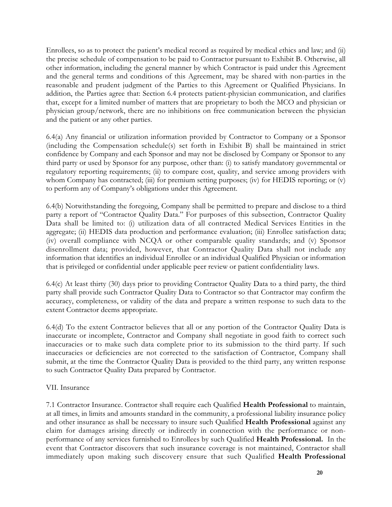Enrollees, so as to protect the patient's medical record as required by medical ethics and law; and (ii) the precise schedule of compensation to be paid to Contractor pursuant to Exhibit B. Otherwise, all other information, including the general manner by which Contractor is paid under this Agreement and the general terms and conditions of this Agreement, may be shared with non-parties in the reasonable and prudent judgment of the Parties to this Agreement or Qualified Physicians. In addition, the Parties agree that: Section 6.4 protects patient-physician communication, and clarifies that, except for a limited number of matters that are proprietary to both the MCO and physician or physician group/network, there are no inhibitions on free communication between the physician and the patient or any other parties.

6.4(a) Any financial or utilization information provided by Contractor to Company or a Sponsor (including the Compensation schedule(s) set forth in Exhibit B) shall be maintained in strict confidence by Company and each Sponsor and may not be disclosed by Company or Sponsor to any third party or used by Sponsor for any purpose, other than: (i) to satisfy mandatory governmental or regulatory reporting requirements; (ii) to compare cost, quality, and service among providers with whom Company has contracted; (iii) for premium setting purposes; (iv) for HEDIS reporting; or (v) to perform any of Company's obligations under this Agreement.

6.4(b) Notwithstanding the foregoing, Company shall be permitted to prepare and disclose to a third party a report of "Contractor Quality Data." For purposes of this subsection, Contractor Quality Data shall be limited to: (i) utilization data of all contracted Medical Services Entities in the aggregate; (ii) HEDIS data production and performance evaluation; (iii) Enrollee satisfaction data; (iv) overall compliance with NCQA or other comparable quality standards; and (v) Sponsor disenrollment data; provided, however, that Contractor Quality Data shall not include any information that identifies an individual Enrollee or an individual Qualified Physician or information that is privileged or confidential under applicable peer review or patient confidentiality laws.

6.4(c) At least thirty (30) days prior to providing Contractor Quality Data to a third party, the third party shall provide such Contractor Quality Data to Contractor so that Contractor may confirm the accuracy, completeness, or validity of the data and prepare a written response to such data to the extent Contractor deems appropriate.

6.4(d) To the extent Contractor believes that all or any portion of the Contractor Quality Data is inaccurate or incomplete, Contractor and Company shall negotiate in good faith to correct such inaccuracies or to make such data complete prior to its submission to the third party. If such inaccuracies or deficiencies are not corrected to the satisfaction of Contractor, Company shall submit, at the time the Contractor Quality Data is provided to the third party, any written response to such Contractor Quality Data prepared by Contractor.

## VII. Insurance

7.1 Contractor Insurance. Contractor shall require each Qualified **Health Professional** to maintain, at all times, in limits and amounts standard in the community, a professional liability insurance policy and other insurance as shall be necessary to insure such Qualified **Health Professional** against any claim for damages arising directly or indirectly in connection with the performance or nonperformance of any services furnished to Enrollees by such Qualified **Health Professional.** In the event that Contractor discovers that such insurance coverage is not maintained, Contractor shall immediately upon making such discovery ensure that such Qualified **Health Professional**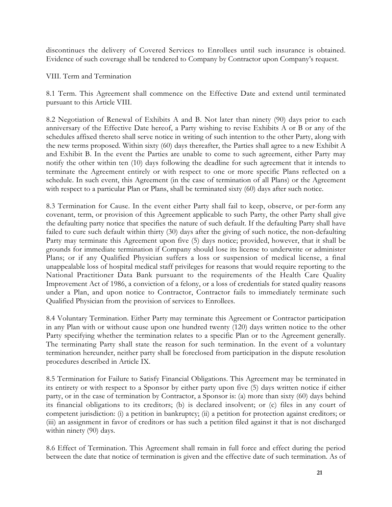discontinues the delivery of Covered Services to Enrollees until such insurance is obtained. Evidence of such coverage shall be tendered to Company by Contractor upon Company's request.

#### VIII. Term and Termination

8.1 Term. This Agreement shall commence on the Effective Date and extend until terminated pursuant to this Article VIII.

8.2 Negotiation of Renewal of Exhibits A and B. Not later than ninety (90) days prior to each anniversary of the Effective Date hereof, a Party wishing to revise Exhibits A or B or any of the schedules affixed thereto shall serve notice in writing of such intention to the other Party, along with the new terms proposed. Within sixty (60) days thereafter, the Parties shall agree to a new Exhibit A and Exhibit B. In the event the Parties are unable to come to such agreement, either Party may notify the other within ten (10) days following the deadline for such agreement that it intends to terminate the Agreement entirely or with respect to one or more specific Plans reflected on a schedule. In such event, this Agreement (in the case of termination of all Plans) or the Agreement with respect to a particular Plan or Plans, shall be terminated sixty (60) days after such notice.

8.3 Termination for Cause. In the event either Party shall fail to keep, observe, or per-form any covenant, term, or provision of this Agreement applicable to such Party, the other Party shall give the defaulting party notice that specifies the nature of such default. If the defaulting Party shall have failed to cure such default within thirty (30) days after the giving of such notice, the non-defaulting Party may terminate this Agreement upon five (5) days notice; provided, however, that it shall be grounds for immediate termination if Company should lose its license to underwrite or administer Plans; or if any Qualified Physician suffers a loss or suspension of medical license, a final unappealable loss of hospital medical staff privileges for reasons that would require reporting to the National Practitioner Data Bank pursuant to the requirements of the Health Care Quality Improvement Act of 1986, a conviction of a felony, or a loss of credentials for stated quality reasons under a Plan, and upon notice to Contractor, Contractor fails to immediately terminate such Qualified Physician from the provision of services to Enrollees.

8.4 Voluntary Termination. Either Party may terminate this Agreement or Contractor participation in any Plan with or without cause upon one hundred twenty (120) days written notice to the other Party specifying whether the termination relates to a specific Plan or to the Agreement generally. The terminating Party shall state the reason for such termination. In the event of a voluntary termination hereunder, neither party shall be foreclosed from participation in the dispute resolution procedures described in Article IX.

8.5 Termination for Failure to Satisfy Financial Obligations. This Agreement may be terminated in its entirety or with respect to a Sponsor by either party upon five (5) days written notice if either party, or in the case of termination by Contractor, a Sponsor is: (a) more than sixty (60) days behind its financial obligations to its creditors; (b) is declared insolvent; or (c) files in any court of competent jurisdiction: (i) a petition in bankruptcy; (ii) a petition for protection against creditors; or (iii) an assignment in favor of creditors or has such a petition filed against it that is not discharged within ninety (90) days.

8.6 Effect of Termination. This Agreement shall remain in full force and effect during the period between the date that notice of termination is given and the effective date of such termination. As of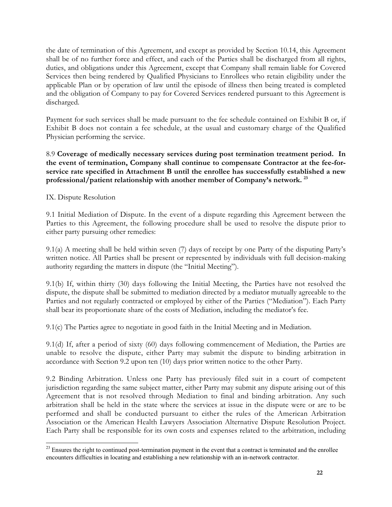the date of termination of this Agreement, and except as provided by Section 10.14, this Agreement shall be of no further force and effect, and each of the Parties shall be discharged from all rights, duties, and obligations under this Agreement, except that Company shall remain liable for Covered Services then being rendered by Qualified Physicians to Enrollees who retain eligibility under the applicable Plan or by operation of law until the episode of illness then being treated is completed and the obligation of Company to pay for Covered Services rendered pursuant to this Agreement is discharged.

Payment for such services shall be made pursuant to the fee schedule contained on Exhibit B or, if Exhibit B does not contain a fee schedule, at the usual and customary charge of the Qualified Physician performing the service.

8.9 **Coverage of medically necessary services during post termination treatment period. In the event of termination, Company shall continue to compensate Contractor at the fee-forservice rate specified in Attachment B until the enrollee has successfully established a new professional/patient relationship with another member of Company's network. 23**

# IX. Dispute Resolution

9.1 Initial Mediation of Dispute. In the event of a dispute regarding this Agreement between the Parties to this Agreement, the following procedure shall be used to resolve the dispute prior to either party pursuing other remedies:

9.1(a) A meeting shall be held within seven (7) days of receipt by one Party of the disputing Party's written notice. All Parties shall be present or represented by individuals with full decision-making authority regarding the matters in dispute (the "Initial Meeting").

9.1(b) If, within thirty (30) days following the Initial Meeting, the Parties have not resolved the dispute, the dispute shall be submitted to mediation directed by a mediator mutually agreeable to the Parties and not regularly contracted or employed by either of the Parties ("Mediation"). Each Party shall bear its proportionate share of the costs of Mediation, including the mediator's fee.

9.1(c) The Parties agree to negotiate in good faith in the Initial Meeting and in Mediation.

9.1(d) If, after a period of sixty (60) days following commencement of Mediation, the Parties are unable to resolve the dispute, either Party may submit the dispute to binding arbitration in accordance with Section 9.2 upon ten (10) days prior written notice to the other Party.

9.2 Binding Arbitration. Unless one Party has previously filed suit in a court of competent jurisdiction regarding the same subject matter, either Party may submit any dispute arising out of this Agreement that is not resolved through Mediation to final and binding arbitration. Any such arbitration shall be held in the state where the services at issue in the dispute were or are to be performed and shall be conducted pursuant to either the rules of the American Arbitration Association or the American Health Lawyers Association Alternative Dispute Resolution Project. Each Party shall be responsible for its own costs and expenses related to the arbitration, including

 $\overline{a}$  $23$  Ensures the right to continued post-termination payment in the event that a contract is terminated and the enrollee encounters difficulties in locating and establishing a new relationship with an in-network contractor.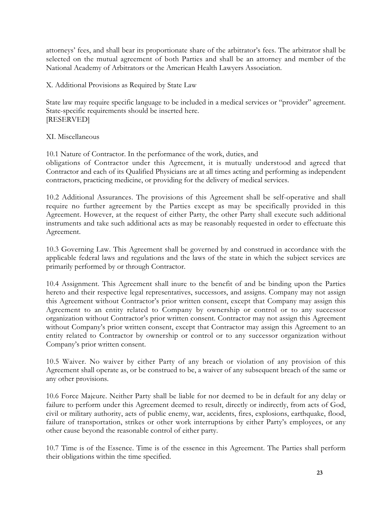attorneys' fees, and shall bear its proportionate share of the arbitrator's fees. The arbitrator shall be selected on the mutual agreement of both Parties and shall be an attorney and member of the National Academy of Arbitrators or the American Health Lawyers Association.

X. Additional Provisions as Required by State Law

State law may require specific language to be included in a medical services or "provider" agreement. State-specific requirements should be inserted here. [RESERVED]

# XI. Miscellaneous

10.1 Nature of Contractor. In the performance of the work, duties, and

obligations of Contractor under this Agreement, it is mutually understood and agreed that Contractor and each of its Qualified Physicians are at all times acting and performing as independent contractors, practicing medicine, or providing for the delivery of medical services.

10.2 Additional Assurances. The provisions of this Agreement shall be self-operative and shall require no further agreement by the Parties except as may be specifically provided in this Agreement. However, at the request of either Party, the other Party shall execute such additional instruments and take such additional acts as may be reasonably requested in order to effectuate this Agreement.

10.3 Governing Law. This Agreement shall be governed by and construed in accordance with the applicable federal laws and regulations and the laws of the state in which the subject services are primarily performed by or through Contractor.

10.4 Assignment. This Agreement shall inure to the benefit of and be binding upon the Parties hereto and their respective legal representatives, successors, and assigns. Company may not assign this Agreement without Contractor's prior written consent, except that Company may assign this Agreement to an entity related to Company by ownership or control or to any successor organization without Contractor's prior written consent. Contractor may not assign this Agreement without Company's prior written consent, except that Contractor may assign this Agreement to an entity related to Contractor by ownership or control or to any successor organization without Company's prior written consent.

10.5 Waiver. No waiver by either Party of any breach or violation of any provision of this Agreement shall operate as, or be construed to be, a waiver of any subsequent breach of the same or any other provisions.

10.6 Force Majeure. Neither Party shall be liable for nor deemed to be in default for any delay or failure to perform under this Agreement deemed to result, directly or indirectly, from acts of God, civil or military authority, acts of public enemy, war, accidents, fires, explosions, earthquake, flood, failure of transportation, strikes or other work interruptions by either Party's employees, or any other cause beyond the reasonable control of either party.

10.7 Time is of the Essence. Time is of the essence in this Agreement. The Parties shall perform their obligations within the time specified.